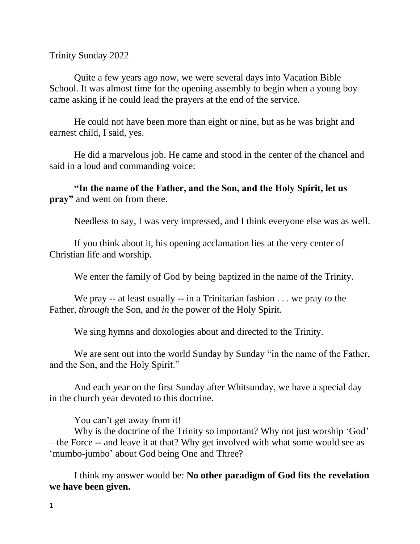Trinity Sunday 2022

Quite a few years ago now, we were several days into Vacation Bible School. It was almost time for the opening assembly to begin when a young boy came asking if he could lead the prayers at the end of the service.

He could not have been more than eight or nine, but as he was bright and earnest child, I said, yes.

He did a marvelous job. He came and stood in the center of the chancel and said in a loud and commanding voice:

**"In the name of the Father, and the Son, and the Holy Spirit, let us pray"** and went on from there.

Needless to say, I was very impressed, and I think everyone else was as well.

If you think about it, his opening acclamation lies at the very center of Christian life and worship.

We enter the family of God by being baptized in the name of the Trinity.

We pray -- at least usually -- in a Trinitarian fashion . . . we pray *to* the Father, *through* the Son, and *in* the power of the Holy Spirit.

We sing hymns and doxologies about and directed to the Trinity.

We are sent out into the world Sunday by Sunday "in the name of the Father, and the Son, and the Holy Spirit."

And each year on the first Sunday after Whitsunday, we have a special day in the church year devoted to this doctrine.

You can't get away from it!

Why is the doctrine of the Trinity so important? Why not just worship 'God' – the Force -- and leave it at that? Why get involved with what some would see as 'mumbo-jumbo' about God being One and Three?

I think my answer would be: **No other paradigm of God fits the revelation we have been given.**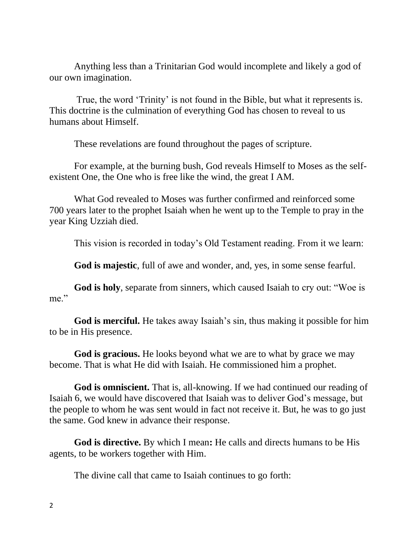Anything less than a Trinitarian God would incomplete and likely a god of our own imagination.

True, the word 'Trinity' is not found in the Bible, but what it represents is. This doctrine is the culmination of everything God has chosen to reveal to us humans about Himself.

These revelations are found throughout the pages of scripture.

For example, at the burning bush, God reveals Himself to Moses as the selfexistent One, the One who is free like the wind, the great I AM.

What God revealed to Moses was further confirmed and reinforced some 700 years later to the prophet Isaiah when he went up to the Temple to pray in the year King Uzziah died.

This vision is recorded in today's Old Testament reading. From it we learn:

**God is majestic**, full of awe and wonder, and, yes, in some sense fearful.

**God is holy**, separate from sinners, which caused Isaiah to cry out: "Woe is me."

**God is merciful.** He takes away Isaiah's sin, thus making it possible for him to be in His presence.

**God is gracious.** He looks beyond what we are to what by grace we may become. That is what He did with Isaiah. He commissioned him a prophet.

**God is omniscient.** That is, all-knowing. If we had continued our reading of Isaiah 6, we would have discovered that Isaiah was to deliver God's message, but the people to whom he was sent would in fact not receive it. But, he was to go just the same. God knew in advance their response.

**God is directive.** By which I mean**:** He calls and directs humans to be His agents, to be workers together with Him.

The divine call that came to Isaiah continues to go forth: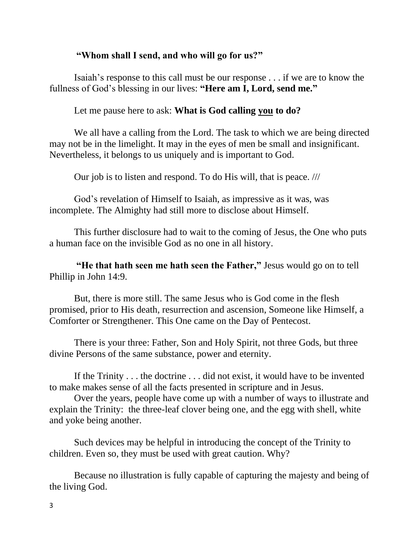## **"Whom shall I send, and who will go for us?"**

Isaiah's response to this call must be our response . . . if we are to know the fullness of God's blessing in our lives: **"Here am I, Lord, send me."**

Let me pause here to ask: **What is God calling you to do?**

We all have a calling from the Lord. The task to which we are being directed may not be in the limelight. It may in the eyes of men be small and insignificant. Nevertheless, it belongs to us uniquely and is important to God.

Our job is to listen and respond. To do His will, that is peace. ///

God's revelation of Himself to Isaiah, as impressive as it was, was incomplete. The Almighty had still more to disclose about Himself.

This further disclosure had to wait to the coming of Jesus, the One who puts a human face on the invisible God as no one in all history.

**"He that hath seen me hath seen the Father,"** Jesus would go on to tell Phillip in John 14:9.

But, there is more still. The same Jesus who is God come in the flesh promised, prior to His death, resurrection and ascension, Someone like Himself, a Comforter or Strengthener. This One came on the Day of Pentecost.

There is your three: Father, Son and Holy Spirit, not three Gods, but three divine Persons of the same substance, power and eternity.

If the Trinity . . . the doctrine . . . did not exist, it would have to be invented to make makes sense of all the facts presented in scripture and in Jesus.

Over the years, people have come up with a number of ways to illustrate and explain the Trinity: the three-leaf clover being one, and the egg with shell, white and yoke being another.

Such devices may be helpful in introducing the concept of the Trinity to children. Even so, they must be used with great caution. Why?

Because no illustration is fully capable of capturing the majesty and being of the living God.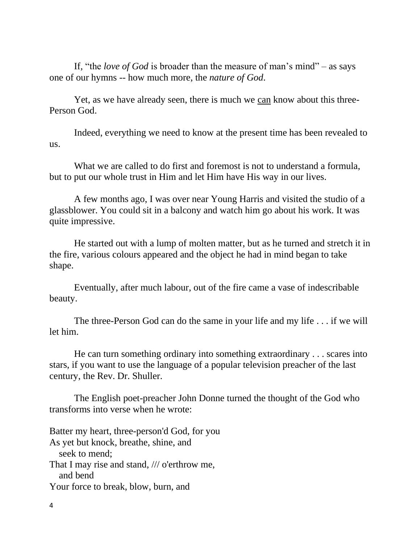If, "the *love of God* is broader than the measure of man's mind" – as says one of our hymns -- how much more, the *nature of God*.

Yet, as we have already seen, there is much we can know about this three-Person God.

Indeed, everything we need to know at the present time has been revealed to us.

What we are called to do first and foremost is not to understand a formula, but to put our whole trust in Him and let Him have His way in our lives.

A few months ago, I was over near Young Harris and visited the studio of a glassblower. You could sit in a balcony and watch him go about his work. It was quite impressive.

He started out with a lump of molten matter, but as he turned and stretch it in the fire, various colours appeared and the object he had in mind began to take shape.

Eventually, after much labour, out of the fire came a vase of indescribable beauty.

The three-Person God can do the same in your life and my life . . . if we will let him.

He can turn something ordinary into something extraordinary . . . scares into stars, if you want to use the language of a popular television preacher of the last century, the Rev. Dr. Shuller.

The English poet-preacher John Donne turned the thought of the God who transforms into verse when he wrote:

Batter my heart, three-person'd God, for you As yet but knock, breathe, shine, and seek to mend; That I may rise and stand, /// o'erthrow me, and bend Your force to break, blow, burn, and